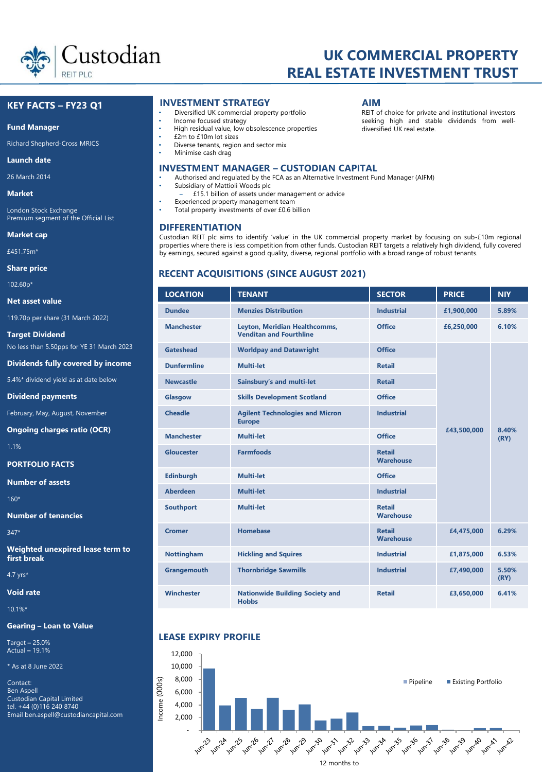

# **UK COMMERCIAL PROPERTY REAL ESTATE INVESTMENT TRUST**

# **KEY FACTS – FY23 Q1**

#### **Fund Manager**

Richard Shepherd-Cross MRICS

#### **Launch date**

26 March 2014

**Market**

London Stock Exchange Premium segment of the Official List

**Market cap** 

£451.75m\*

**Share price**

102.60p\*

**Net asset value**

119.70p per share (31 March 2022)

**Target Dividend** No less than 5.50pps for YE 31 March 2023

**Dividends fully covered by income**

5.4%\* dividend yield as at date below

**Dividend payments**

February, May, August, November

**Ongoing charges ratio (OCR)**

1.1%

**PORTFOLIO FACTS**

**Number of assets** 

160\*

**Number of tenancies**

347\*

**Weighted unexpired lease term to first break**

4.7 yrs\*

**Void rate** 

10.1%\*

# **Gearing – Loan to Value**

Target **–** 25.0% Actual **–** 19.1%

\* As at 8 June 2022

Contact: Ben Aspell Custodian Capital Limited tel. +44 (0)116 240 8740 Email ben.aspell@custodiancapital.com

# **INVESTMENT STRATEGY AIM**

- Diversified UK commercial property portfolio
- Income focused strategy
- High residual value, low obsolescence properties
- £2m to £10m lot sizes
- Diverse tenants, region and sector mix
- Minimise cash drag

# **INVESTMENT MANAGER – CUSTODIAN CAPITAL**

- Authorised and regulated by the FCA as an Alternative Investment Fund Manager (AIFM)
- Subsidiary of Mattioli Woods plc
- ‒ £15.1 billion of assets under management or advice
- Experienced property management team
- Total property investments of over £0.6 billion

REIT of choice for private and institutional investors seeking high and stable dividends from welldiversified UK real estate.

by earnings, secured against a good quality, diverse, regional portfolio with a broad range of robust tenants.

# **RECENT ACQUISITIONS (SINCE AUGUST 2021)**

| <b>LOCATION</b>    | <b>TENANT</b>                                                   | <b>SECTOR</b>                     | <b>PRICE</b> | <b>NIY</b>    |
|--------------------|-----------------------------------------------------------------|-----------------------------------|--------------|---------------|
| <b>Dundee</b>      | <b>Menzies Distribution</b>                                     | <b>Industrial</b>                 | £1,900,000   | 5.89%         |
| <b>Manchester</b>  | Leyton, Meridian Healthcomms,<br><b>Venditan and Fourthline</b> | <b>Office</b>                     | £6,250,000   | 6.10%         |
| Gateshead          | <b>Worldpay and Datawright</b>                                  | <b>Office</b>                     |              |               |
| <b>Dunfermline</b> | Multi-let                                                       | <b>Retail</b>                     |              |               |
| <b>Newcastle</b>   | Sainsbury's and multi-let                                       | <b>Retail</b>                     |              |               |
| Glasgow            | <b>Skills Development Scotland</b>                              | Office                            |              |               |
| <b>Cheadle</b>     | <b>Agilent Technologies and Micron</b><br><b>Europe</b>         | <b>Industrial</b>                 |              |               |
| <b>Manchester</b>  | Multi-let                                                       | Office                            | £43,500,000  | 8.40%<br>(RY) |
| Gloucester         | <b>Farmfoods</b>                                                | <b>Retail</b><br><b>Warehouse</b> |              |               |
| <b>Edinburgh</b>   | <b>Multi-let</b>                                                | <b>Office</b>                     |              |               |
| <b>Aberdeen</b>    | <b>Multi-let</b>                                                | <b>Industrial</b>                 |              |               |
| <b>Southport</b>   | <b>Multi-let</b>                                                | <b>Retail</b><br><b>Warehouse</b> |              |               |
| <b>Cromer</b>      | <b>Homebase</b>                                                 | <b>Retail</b><br><b>Warehouse</b> | £4,475,000   | 6.29%         |
| <b>Nottingham</b>  | <b>Hickling and Squires</b>                                     | <b>Industrial</b>                 | £1,875,000   | 6.53%         |
| Grangemouth        | <b>Thornbridge Sawmills</b>                                     | <b>Industrial</b>                 | £7,490,000   | 5.50%<br>(RY) |
| <b>Winchester</b>  | <b>Nationwide Building Society and</b><br><b>Hobbs</b>          | <b>Retail</b>                     | £3,650,000   | 6.41%         |

# **LEASE EXPIRY PROFILE**



**DIFFERENTIATION** Custodian REIT plc aims to identify 'value' in the UK commercial property market by focusing on sub-£10m regional properties where there is less competition from other funds. Custodian REIT targets a relatively high dividend, fully covered